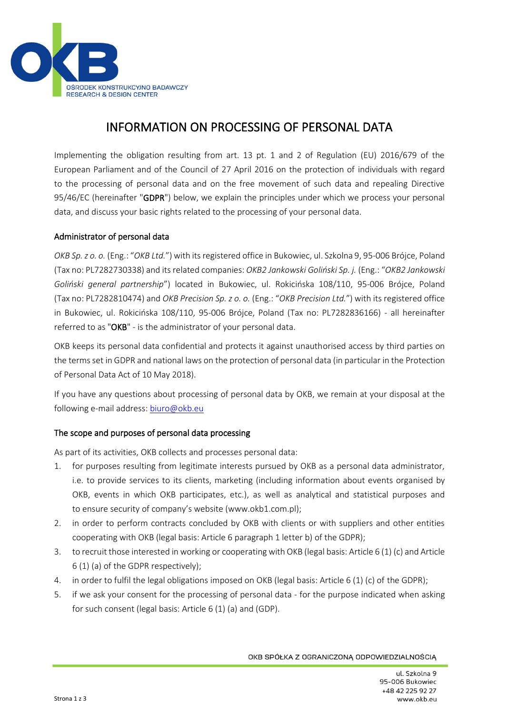

# INFORMATION ON PROCESSING OF PERSONAL DATA

Implementing the obligation resulting from art. 13 pt. 1 and 2 of Regulation (EU) 2016/679 of the European Parliament and of the Council of 27 April 2016 on the protection of individuals with regard to the processing of personal data and on the free movement of such data and repealing Directive 95/46/EC (hereinafter "GDPR") below, we explain the principles under which we process your personal data, and discuss your basic rights related to the processing of your personal data.

## Administrator of personal data

*OKB Sp. z o. o.* (Eng.: "*OKB Ltd.*") with its registered office in Bukowiec, ul. Szkolna 9, 95-006 Brójce, Poland (Tax no: PL7282730338) and its related companies: *OKB2 Jankowski Goliński Sp. j.* (Eng.: "*OKB2 Jankowski Goliński general partnership*") located in Bukowiec, ul. Rokicińska 108/110, 95-006 Brójce, Poland (Tax no: PL7282810474) and *OKB Precision Sp. z o. o.* (Eng.: "*OKB Precision Ltd.*") with its registered office in Bukowiec, ul. Rokicińska 108/110, 95-006 Brójce, Poland (Tax no: PL7282836166) - all hereinafter referred to as "OKB" - is the administrator of your personal data.

OKB keeps its personal data confidential and protects it against unauthorised access by third parties on the terms set in GDPR and national laws on the protection of personal data (in particular in the Protection of Personal Data Act of 10 May 2018).

If you have any questions about processing of personal data by OKB, we remain at your disposal at the following e-mail address: [biuro@okb.eu](mailto:biuro@okb.eu)

## The scope and purposes of personal data processing

As part of its activities, OKB collects and processes personal data:

- 1. for purposes resulting from legitimate interests pursued by OKB as a personal data administrator, i.e. to provide services to its clients, marketing (including information about events organised by OKB, events in which OKB participates, etc.), as well as analytical and statistical purposes and to ensure security of company's website (www.okb1.com.pl);
- 2. in order to perform contracts concluded by OKB with clients or with suppliers and other entities cooperating with OKB (legal basis: Article 6 paragraph 1 letter b) of the GDPR);
- 3. to recruit those interested in working or cooperating with OKB (legal basis: Article 6 (1) (c) and Article 6 (1) (a) of the GDPR respectively);
- 4. in order to fulfil the legal obligations imposed on OKB (legal basis: Article 6 (1) (c) of the GDPR);
- 5. if we ask your consent for the processing of personal data for the purpose indicated when asking for such consent (legal basis: Article 6 (1) (a) and (GDP).

OKB SPÓŁKA Z OGRANICZONĄ ODPOWIEDZIALNOŚCIĄ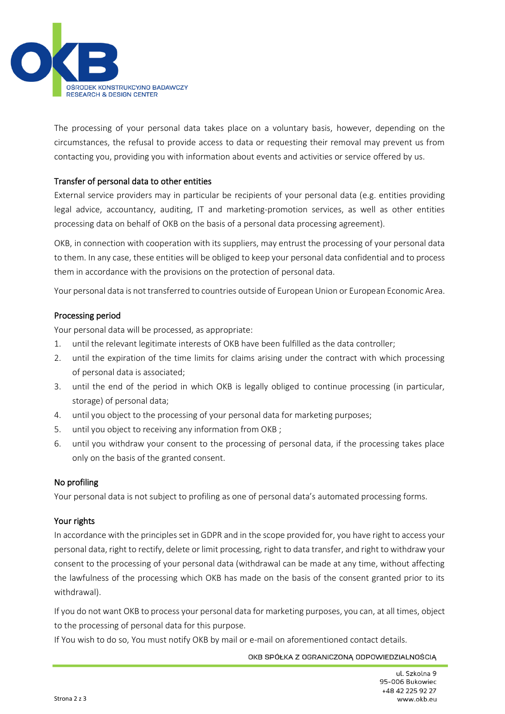

The processing of your personal data takes place on a voluntary basis, however, depending on the circumstances, the refusal to provide access to data or requesting their removal may prevent us from contacting you, providing you with information about events and activities or service offered by us.

## Transfer of personal data to other entities

External service providers may in particular be recipients of your personal data (e.g. entities providing legal advice, accountancy, auditing, IT and marketing-promotion services, as well as other entities processing data on behalf of OKB on the basis of a personal data processing agreement).

OKB, in connection with cooperation with its suppliers, may entrust the processing of your personal data to them. In any case, these entities will be obliged to keep your personal data confidential and to process them in accordance with the provisions on the protection of personal data.

Your personal data is not transferred to countries outside of European Union or European Economic Area.

## Processing period

Your personal data will be processed, as appropriate:

- 1. until the relevant legitimate interests of OKB have been fulfilled as the data controller;
- 2. until the expiration of the time limits for claims arising under the contract with which processing of personal data is associated;
- 3. until the end of the period in which OKB is legally obliged to continue processing (in particular, storage) of personal data;
- 4. until you object to the processing of your personal data for marketing purposes;
- 5. until you object to receiving any information from OKB ;
- 6. until you withdraw your consent to the processing of personal data, if the processing takes place only on the basis of the granted consent.

## No profiling

Your personal data is not subject to profiling as one of personal data's automated processing forms.

## Your rights

In accordance with the principles set in GDPR and in the scope provided for, you have right to access your personal data, right to rectify, delete or limit processing, right to data transfer, and right to withdraw your consent to the processing of your personal data (withdrawal can be made at any time, without affecting the lawfulness of the processing which OKB has made on the basis of the consent granted prior to its withdrawal).

If you do not want OKB to process your personal data for marketing purposes, you can, at all times, object to the processing of personal data for this purpose.

If You wish to do so, You must notify OKB by mail or e-mail on aforementioned contact details.

OKB SPÓŁKA Z OGRANICZONĄ ODPOWIEDZIALNOŚCIĄ